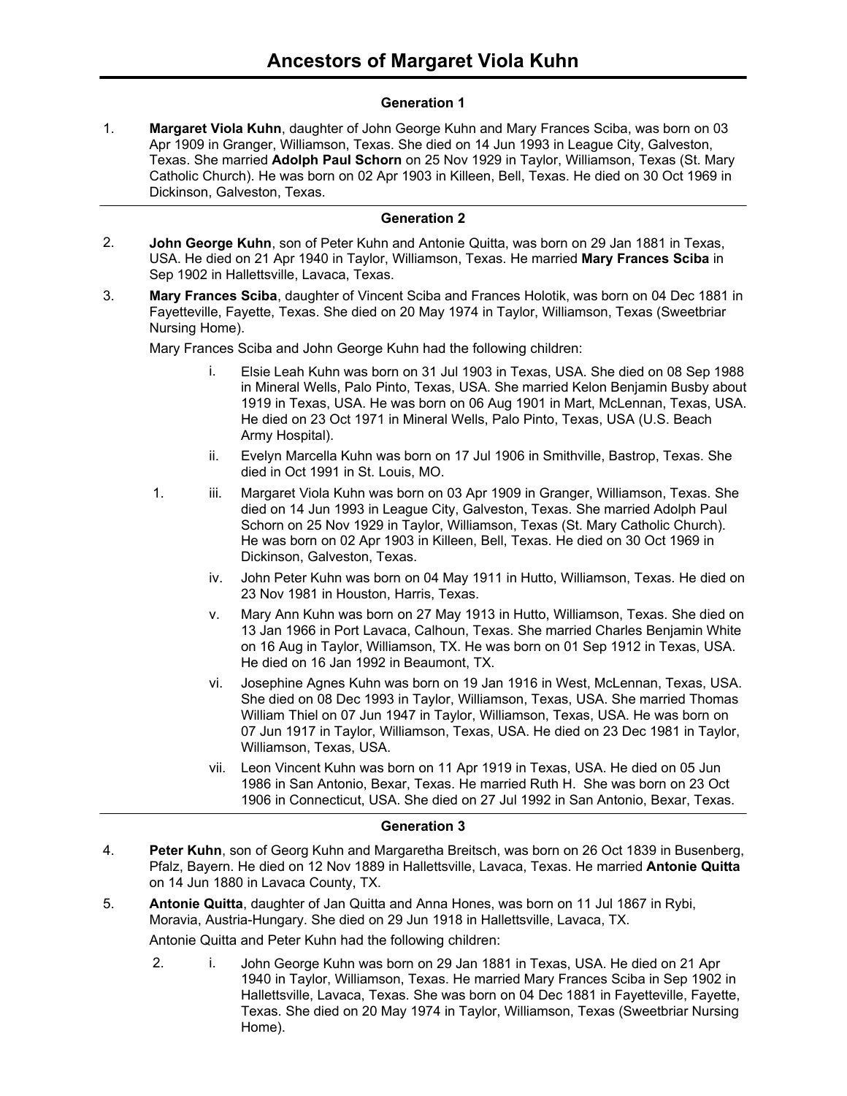### **Generation 1**

**Margaret Viola Kuhn**, daughter of John George Kuhn and Mary Frances Sciba, was born on 03 Apr 1909 in Granger, Williamson, Texas. She died on 14 Jun 1993 in League City, Galveston, Texas. She married **Adolph Paul Schorn** on 25 Nov 1929 in Taylor, Williamson, Texas (St. Mary Catholic Church). He was born on 02 Apr 1903 in Killeen, Bell, Texas. He died on 30 Oct 1969 in Dickinson, Galveston, Texas. 1.

#### **Generation 2**

- **John George Kuhn**, son of Peter Kuhn and Antonie Quitta, was born on 29 Jan 1881 in Texas, USA. He died on 21 Apr 1940 in Taylor, Williamson, Texas. He married **Mary Frances Sciba** in Sep 1902 in Hallettsville, Lavaca, Texas. 2.
- **Mary Frances Sciba**, daughter of Vincent Sciba and Frances Holotik, was born on 04 Dec 1881 in Fayetteville, Fayette, Texas. She died on 20 May 1974 in Taylor, Williamson, Texas (Sweetbriar Nursing Home). 3.

Mary Frances Sciba and John George Kuhn had the following children:

- i. Elsie Leah Kuhn was born on 31 Jul 1903 in Texas, USA. She died on 08 Sep 1988 in Mineral Wells, Palo Pinto, Texas, USA. She married Kelon Benjamin Busby about 1919 in Texas, USA. He was born on 06 Aug 1901 in Mart, McLennan, Texas, USA. He died on 23 Oct 1971 in Mineral Wells, Palo Pinto, Texas, USA (U.S. Beach Army Hospital).
- ii. Evelyn Marcella Kuhn was born on 17 Jul 1906 in Smithville, Bastrop, Texas. She died in Oct 1991 in St. Louis, MO.
- 1. iii. Margaret Viola Kuhn was born on 03 Apr 1909 in Granger, Williamson, Texas. She died on 14 Jun 1993 in League City, Galveston, Texas. She married Adolph Paul Schorn on 25 Nov 1929 in Taylor, Williamson, Texas (St. Mary Catholic Church). He was born on 02 Apr 1903 in Killeen, Bell, Texas. He died on 30 Oct 1969 in Dickinson, Galveston, Texas.
	- iv. John Peter Kuhn was born on 04 May 1911 in Hutto, Williamson, Texas. He died on 23 Nov 1981 in Houston, Harris, Texas.
	- v. Mary Ann Kuhn was born on 27 May 1913 in Hutto, Williamson, Texas. She died on 13 Jan 1966 in Port Lavaca, Calhoun, Texas. She married Charles Benjamin White on 16 Aug in Taylor, Williamson, TX. He was born on 01 Sep 1912 in Texas, USA. He died on 16 Jan 1992 in Beaumont, TX.
	- vi. Josephine Agnes Kuhn was born on 19 Jan 1916 in West, McLennan, Texas, USA. She died on 08 Dec 1993 in Taylor, Williamson, Texas, USA. She married Thomas William Thiel on 07 Jun 1947 in Taylor, Williamson, Texas, USA. He was born on 07 Jun 1917 in Taylor, Williamson, Texas, USA. He died on 23 Dec 1981 in Taylor, Williamson, Texas, USA.
	- vii. Leon Vincent Kuhn was born on 11 Apr 1919 in Texas, USA. He died on 05 Jun 1986 in San Antonio, Bexar, Texas. He married Ruth H. She was born on 23 Oct 1906 in Connecticut, USA. She died on 27 Jul 1992 in San Antonio, Bexar, Texas.

#### **Generation 3**

- **Peter Kuhn**, son of Georg Kuhn and Margaretha Breitsch, was born on 26 Oct 1839 in Busenberg, Pfalz, Bayern. He died on 12 Nov 1889 in Hallettsville, Lavaca, Texas. He married **Antonie Quitta** on 14 Jun 1880 in Lavaca County, TX. 4.
- **Antonie Quitta**, daughter of Jan Quitta and Anna Hones, was born on 11 Jul 1867 in Rybi, Moravia, Austria-Hungary. She died on 29 Jun 1918 in Hallettsville, Lavaca, TX. 5.

Antonie Quitta and Peter Kuhn had the following children:

2. i. John George Kuhn was born on 29 Jan 1881 in Texas, USA. He died on 21 Apr 1940 in Taylor, Williamson, Texas. He married Mary Frances Sciba in Sep 1902 in Hallettsville, Lavaca, Texas. She was born on 04 Dec 1881 in Fayetteville, Fayette, Texas. She died on 20 May 1974 in Taylor, Williamson, Texas (Sweetbriar Nursing Home).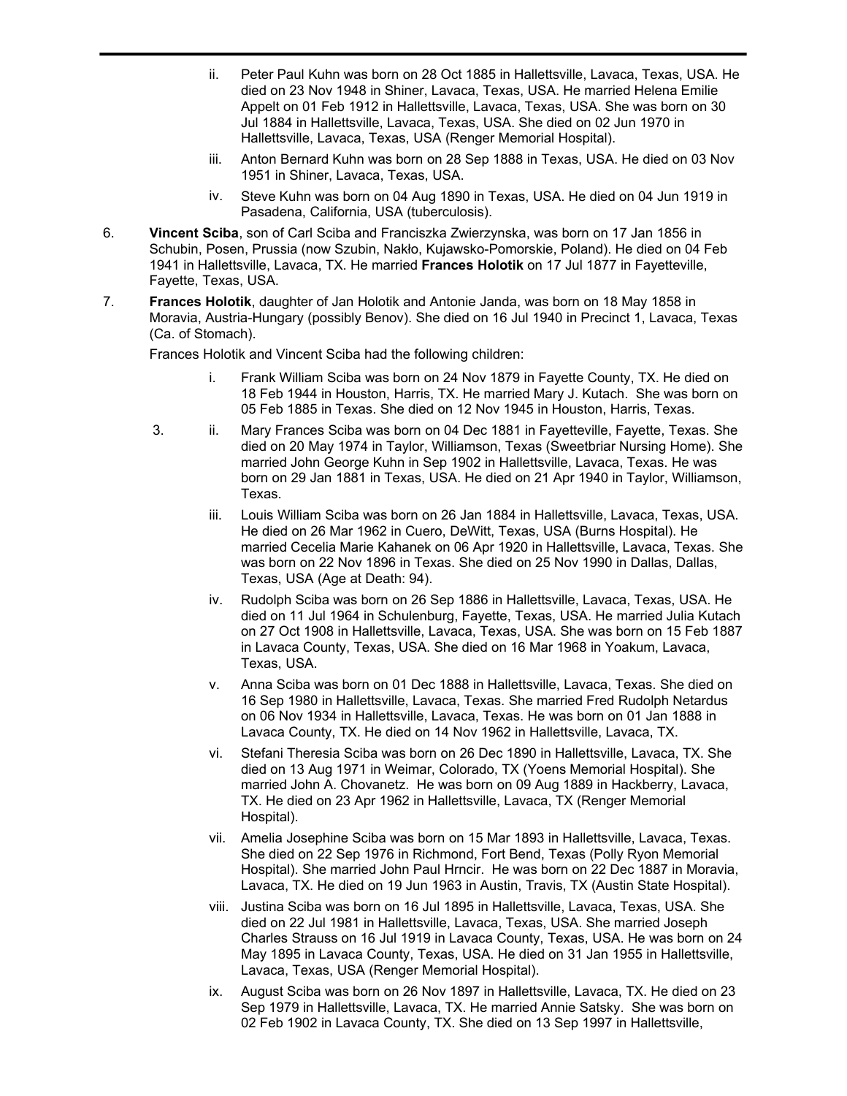- ii. Peter Paul Kuhn was born on 28 Oct 1885 in Hallettsville, Lavaca, Texas, USA. He died on 23 Nov 1948 in Shiner, Lavaca, Texas, USA. He married Helena Emilie Appelt on 01 Feb 1912 in Hallettsville, Lavaca, Texas, USA. She was born on 30 Jul 1884 in Hallettsville, Lavaca, Texas, USA. She died on 02 Jun 1970 in Hallettsville, Lavaca, Texas, USA (Renger Memorial Hospital).
- iii. Anton Bernard Kuhn was born on 28 Sep 1888 in Texas, USA. He died on 03 Nov 1951 in Shiner, Lavaca, Texas, USA.
- iv. Steve Kuhn was born on 04 Aug 1890 in Texas, USA. He died on 04 Jun 1919 in Pasadena, California, USA (tuberculosis).
- **Vincent Sciba**, son of Carl Sciba and Franciszka Zwierzynska, was born on 17 Jan 1856 in Schubin, Posen, Prussia (now Szubin, Nakło, Kujawsko-Pomorskie, Poland). He died on 04 Feb 1941 in Hallettsville, Lavaca, TX. He married **Frances Holotik** on 17 Jul 1877 in Fayetteville, Fayette, Texas, USA. 6.
- **Frances Holotik**, daughter of Jan Holotik and Antonie Janda, was born on 18 May 1858 in Moravia, Austria-Hungary (possibly Benov). She died on 16 Jul 1940 in Precinct 1, Lavaca, Texas (Ca. of Stomach). 7.

Frances Holotik and Vincent Sciba had the following children:

- i. Frank William Sciba was born on 24 Nov 1879 in Fayette County, TX. He died on 18 Feb 1944 in Houston, Harris, TX. He married Mary J. Kutach. She was born on 05 Feb 1885 in Texas. She died on 12 Nov 1945 in Houston, Harris, Texas.
- 3. ii. Mary Frances Sciba was born on 04 Dec 1881 in Fayetteville, Fayette, Texas. She died on 20 May 1974 in Taylor, Williamson, Texas (Sweetbriar Nursing Home). She married John George Kuhn in Sep 1902 in Hallettsville, Lavaca, Texas. He was born on 29 Jan 1881 in Texas, USA. He died on 21 Apr 1940 in Taylor, Williamson, Texas.
	- iii. Louis William Sciba was born on 26 Jan 1884 in Hallettsville, Lavaca, Texas, USA. He died on 26 Mar 1962 in Cuero, DeWitt, Texas, USA (Burns Hospital). He married Cecelia Marie Kahanek on 06 Apr 1920 in Hallettsville, Lavaca, Texas. She was born on 22 Nov 1896 in Texas. She died on 25 Nov 1990 in Dallas, Dallas, Texas, USA (Age at Death: 94).
	- iv. Rudolph Sciba was born on 26 Sep 1886 in Hallettsville, Lavaca, Texas, USA. He died on 11 Jul 1964 in Schulenburg, Fayette, Texas, USA. He married Julia Kutach on 27 Oct 1908 in Hallettsville, Lavaca, Texas, USA. She was born on 15 Feb 1887 in Lavaca County, Texas, USA. She died on 16 Mar 1968 in Yoakum, Lavaca, Texas, USA.
	- v. Anna Sciba was born on 01 Dec 1888 in Hallettsville, Lavaca, Texas. She died on 16 Sep 1980 in Hallettsville, Lavaca, Texas. She married Fred Rudolph Netardus on 06 Nov 1934 in Hallettsville, Lavaca, Texas. He was born on 01 Jan 1888 in Lavaca County, TX. He died on 14 Nov 1962 in Hallettsville, Lavaca, TX.
	- vi. Stefani Theresia Sciba was born on 26 Dec 1890 in Hallettsville, Lavaca, TX. She died on 13 Aug 1971 in Weimar, Colorado, TX (Yoens Memorial Hospital). She married John A. Chovanetz. He was born on 09 Aug 1889 in Hackberry, Lavaca, TX. He died on 23 Apr 1962 in Hallettsville, Lavaca, TX (Renger Memorial Hospital).
	- vii. Amelia Josephine Sciba was born on 15 Mar 1893 in Hallettsville, Lavaca, Texas. She died on 22 Sep 1976 in Richmond, Fort Bend, Texas (Polly Ryon Memorial Hospital). She married John Paul Hrncir. He was born on 22 Dec 1887 in Moravia, Lavaca, TX. He died on 19 Jun 1963 in Austin, Travis, TX (Austin State Hospital).
	- viii. Justina Sciba was born on 16 Jul 1895 in Hallettsville, Lavaca, Texas, USA. She died on 22 Jul 1981 in Hallettsville, Lavaca, Texas, USA. She married Joseph Charles Strauss on 16 Jul 1919 in Lavaca County, Texas, USA. He was born on 24 May 1895 in Lavaca County, Texas, USA. He died on 31 Jan 1955 in Hallettsville, Lavaca, Texas, USA (Renger Memorial Hospital).
	- ix. August Sciba was born on 26 Nov 1897 in Hallettsville, Lavaca, TX. He died on 23 Sep 1979 in Hallettsville, Lavaca, TX. He married Annie Satsky. She was born on 02 Feb 1902 in Lavaca County, TX. She died on 13 Sep 1997 in Hallettsville,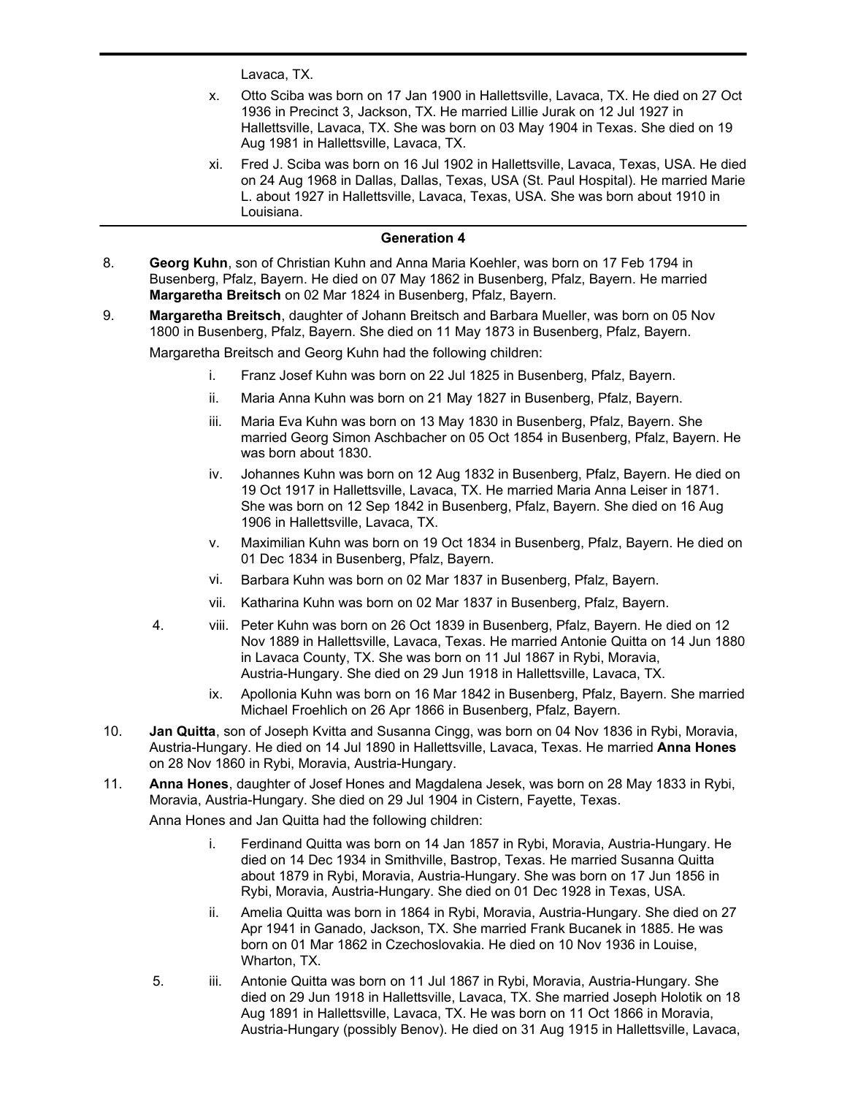Lavaca, TX.

x. Otto Sciba was born on 17 Jan 1900 in Hallettsville, Lavaca, TX. He died on 27 Oct 1936 in Precinct 3, Jackson, TX. He married Lillie Jurak on 12 Jul 1927 in Hallettsville, Lavaca, TX. She was born on 03 May 1904 in Texas. She died on 19 Aug 1981 in Hallettsville, Lavaca, TX.

02 Feb 1902 in Lavaca County, TX. She died on 13 Sep 1997 in Hallettsville,

xi. Fred J. Sciba was born on 16 Jul 1902 in Hallettsville, Lavaca, Texas, USA. He died on 24 Aug 1968 in Dallas, Dallas, Texas, USA (St. Paul Hospital). He married Marie L. about 1927 in Hallettsville, Lavaca, Texas, USA. She was born about 1910 in Louisiana.

### **Generation 4**

- **Georg Kuhn**, son of Christian Kuhn and Anna Maria Koehler, was born on 17 Feb 1794 in Busenberg, Pfalz, Bayern. He died on 07 May 1862 in Busenberg, Pfalz, Bayern. He married **Margaretha Breitsch** on 02 Mar 1824 in Busenberg, Pfalz, Bayern. 8.
- **Margaretha Breitsch**, daughter of Johann Breitsch and Barbara Mueller, was born on 05 Nov 1800 in Busenberg, Pfalz, Bayern. She died on 11 May 1873 in Busenberg, Pfalz, Bayern. 9.

Margaretha Breitsch and Georg Kuhn had the following children:

- i. Franz Josef Kuhn was born on 22 Jul 1825 in Busenberg, Pfalz, Bayern.
- ii. Maria Anna Kuhn was born on 21 May 1827 in Busenberg, Pfalz, Bayern.
- iii. Maria Eva Kuhn was born on 13 May 1830 in Busenberg, Pfalz, Bayern. She married Georg Simon Aschbacher on 05 Oct 1854 in Busenberg, Pfalz, Bayern. He was born about 1830.
- iv. Johannes Kuhn was born on 12 Aug 1832 in Busenberg, Pfalz, Bayern. He died on 19 Oct 1917 in Hallettsville, Lavaca, TX. He married Maria Anna Leiser in 1871. She was born on 12 Sep 1842 in Busenberg, Pfalz, Bayern. She died on 16 Aug 1906 in Hallettsville, Lavaca, TX.
- v. Maximilian Kuhn was born on 19 Oct 1834 in Busenberg, Pfalz, Bayern. He died on 01 Dec 1834 in Busenberg, Pfalz, Bayern.
- vi. Barbara Kuhn was born on 02 Mar 1837 in Busenberg, Pfalz, Bayern.
- vii. Katharina Kuhn was born on 02 Mar 1837 in Busenberg, Pfalz, Bayern.
- 4. viii. Peter Kuhn was born on 26 Oct 1839 in Busenberg, Pfalz, Bayern. He died on 12 Nov 1889 in Hallettsville, Lavaca, Texas. He married Antonie Quitta on 14 Jun 1880 in Lavaca County, TX. She was born on 11 Jul 1867 in Rybi, Moravia, Austria-Hungary. She died on 29 Jun 1918 in Hallettsville, Lavaca, TX.
	- ix. Apollonia Kuhn was born on 16 Mar 1842 in Busenberg, Pfalz, Bayern. She married Michael Froehlich on 26 Apr 1866 in Busenberg, Pfalz, Bayern.
- **Jan Quitta**, son of Joseph Kvitta and Susanna Cingg, was born on 04 Nov 1836 in Rybi, Moravia, Austria-Hungary. He died on 14 Jul 1890 in Hallettsville, Lavaca, Texas. He married **Anna Hones** on 28 Nov 1860 in Rybi, Moravia, Austria-Hungary. 10.
- **Anna Hones**, daughter of Josef Hones and Magdalena Jesek, was born on 28 May 1833 in Rybi, Moravia, Austria-Hungary. She died on 29 Jul 1904 in Cistern, Fayette, Texas. 11.

Anna Hones and Jan Quitta had the following children:

- i. Ferdinand Quitta was born on 14 Jan 1857 in Rybi, Moravia, Austria-Hungary. He died on 14 Dec 1934 in Smithville, Bastrop, Texas. He married Susanna Quitta about 1879 in Rybi, Moravia, Austria-Hungary. She was born on 17 Jun 1856 in Rybi, Moravia, Austria-Hungary. She died on 01 Dec 1928 in Texas, USA.
- ii. Amelia Quitta was born in 1864 in Rybi, Moravia, Austria-Hungary. She died on 27 Apr 1941 in Ganado, Jackson, TX. She married Frank Bucanek in 1885. He was born on 01 Mar 1862 in Czechoslovakia. He died on 10 Nov 1936 in Louise, Wharton, TX.
- 5. iii. Antonie Quitta was born on 11 Jul 1867 in Rybi, Moravia, Austria-Hungary. She died on 29 Jun 1918 in Hallettsville, Lavaca, TX. She married Joseph Holotik on 18 Aug 1891 in Hallettsville, Lavaca, TX. He was born on 11 Oct 1866 in Moravia, Austria-Hungary (possibly Benov). He died on 31 Aug 1915 in Hallettsville, Lavaca,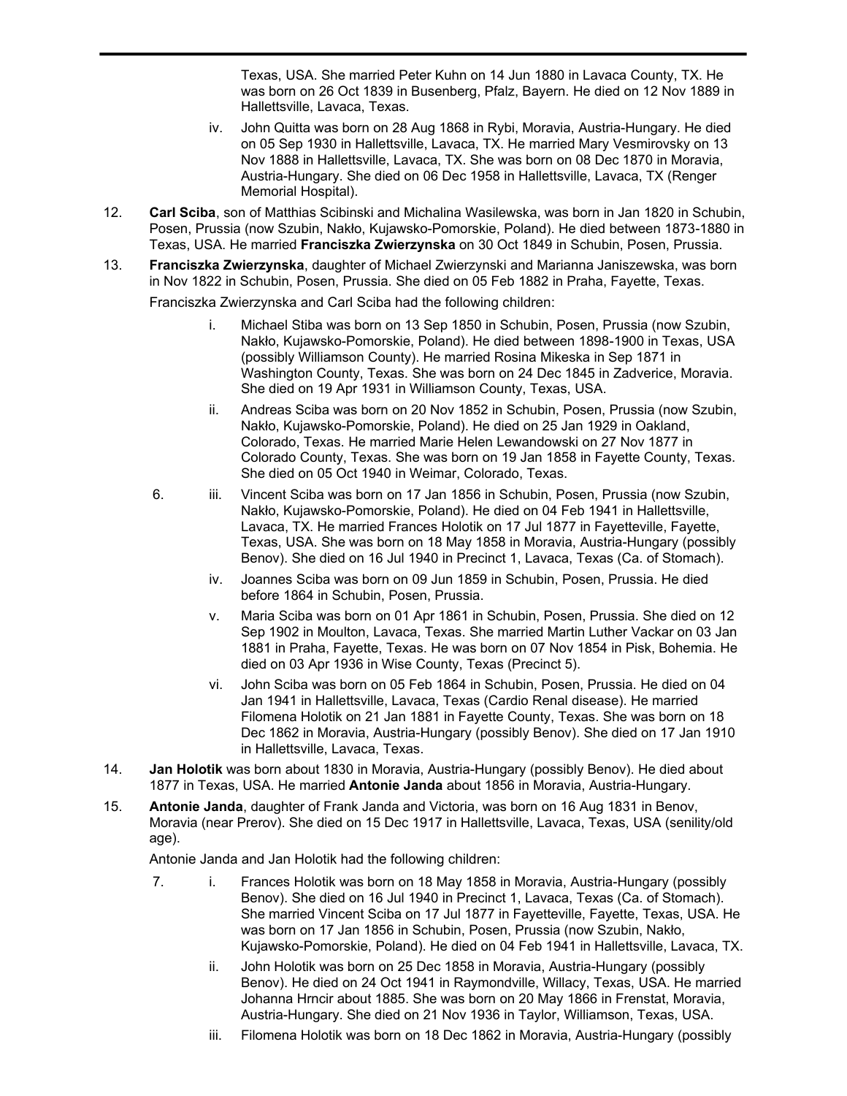Austria-Hungary (possibly Benov). He died on 31 Aug 1915 in Hallettsville, Lavaca, Texas, USA. She married Peter Kuhn on 14 Jun 1880 in Lavaca County, TX. He was born on 26 Oct 1839 in Busenberg, Pfalz, Bayern. He died on 12 Nov 1889 in Hallettsville, Lavaca, Texas.

- iv. John Quitta was born on 28 Aug 1868 in Rybi, Moravia, Austria-Hungary. He died on 05 Sep 1930 in Hallettsville, Lavaca, TX. He married Mary Vesmirovsky on 13 Nov 1888 in Hallettsville, Lavaca, TX. She was born on 08 Dec 1870 in Moravia, Austria-Hungary. She died on 06 Dec 1958 in Hallettsville, Lavaca, TX (Renger Memorial Hospital).
- **Carl Sciba**, son of Matthias Scibinski and Michalina Wasilewska, was born in Jan 1820 in Schubin, Posen, Prussia (now Szubin, Nakło, Kujawsko-Pomorskie, Poland). He died between 1873-1880 in Texas, USA. He married **Franciszka Zwierzynska** on 30 Oct 1849 in Schubin, Posen, Prussia. 12.
- **Franciszka Zwierzynska**, daughter of Michael Zwierzynski and Marianna Janiszewska, was born in Nov 1822 in Schubin, Posen, Prussia. She died on 05 Feb 1882 in Praha, Fayette, Texas. 13. Franciszka Zwierzynska and Carl Sciba had the following children:
	- i. Michael Stiba was born on 13 Sep 1850 in Schubin, Posen, Prussia (now Szubin, Nakło, Kujawsko-Pomorskie, Poland). He died between 1898-1900 in Texas, USA (possibly Williamson County). He married Rosina Mikeska in Sep 1871 in Washington County, Texas. She was born on 24 Dec 1845 in Zadverice, Moravia. She died on 19 Apr 1931 in Williamson County, Texas, USA.
	- ii. Andreas Sciba was born on 20 Nov 1852 in Schubin, Posen, Prussia (now Szubin, Nakło, Kujawsko-Pomorskie, Poland). He died on 25 Jan 1929 in Oakland, Colorado, Texas. He married Marie Helen Lewandowski on 27 Nov 1877 in Colorado County, Texas. She was born on 19 Jan 1858 in Fayette County, Texas. She died on 05 Oct 1940 in Weimar, Colorado, Texas.
	- 6. iii. Vincent Sciba was born on 17 Jan 1856 in Schubin, Posen, Prussia (now Szubin, Nakło, Kujawsko-Pomorskie, Poland). He died on 04 Feb 1941 in Hallettsville, Lavaca, TX. He married Frances Holotik on 17 Jul 1877 in Fayetteville, Fayette, Texas, USA. She was born on 18 May 1858 in Moravia, Austria-Hungary (possibly Benov). She died on 16 Jul 1940 in Precinct 1, Lavaca, Texas (Ca. of Stomach).
		- iv. Joannes Sciba was born on 09 Jun 1859 in Schubin, Posen, Prussia. He died before 1864 in Schubin, Posen, Prussia.
		- v. Maria Sciba was born on 01 Apr 1861 in Schubin, Posen, Prussia. She died on 12 Sep 1902 in Moulton, Lavaca, Texas. She married Martin Luther Vackar on 03 Jan 1881 in Praha, Fayette, Texas. He was born on 07 Nov 1854 in Pisk, Bohemia. He died on 03 Apr 1936 in Wise County, Texas (Precinct 5).
		- vi. John Sciba was born on 05 Feb 1864 in Schubin, Posen, Prussia. He died on 04 Jan 1941 in Hallettsville, Lavaca, Texas (Cardio Renal disease). He married Filomena Holotik on 21 Jan 1881 in Fayette County, Texas. She was born on 18 Dec 1862 in Moravia, Austria-Hungary (possibly Benov). She died on 17 Jan 1910 in Hallettsville, Lavaca, Texas.
- **Jan Holotik** was born about 1830 in Moravia, Austria-Hungary (possibly Benov). He died about 1877 in Texas, USA. He married **Antonie Janda** about 1856 in Moravia, Austria-Hungary. 14.
- **Antonie Janda**, daughter of Frank Janda and Victoria, was born on 16 Aug 1831 in Benov, Moravia (near Prerov). She died on 15 Dec 1917 in Hallettsville, Lavaca, Texas, USA (senility/old age). 15.

Antonie Janda and Jan Holotik had the following children:

- 7. i. Frances Holotik was born on 18 May 1858 in Moravia, Austria-Hungary (possibly Benov). She died on 16 Jul 1940 in Precinct 1, Lavaca, Texas (Ca. of Stomach). She married Vincent Sciba on 17 Jul 1877 in Fayetteville, Fayette, Texas, USA. He was born on 17 Jan 1856 in Schubin, Posen, Prussia (now Szubin, Nakło, Kujawsko-Pomorskie, Poland). He died on 04 Feb 1941 in Hallettsville, Lavaca, TX.
	- ii. John Holotik was born on 25 Dec 1858 in Moravia, Austria-Hungary (possibly Benov). He died on 24 Oct 1941 in Raymondville, Willacy, Texas, USA. He married Johanna Hrncir about 1885. She was born on 20 May 1866 in Frenstat, Moravia, Austria-Hungary. She died on 21 Nov 1936 in Taylor, Williamson, Texas, USA.
	- iii. Filomena Holotik was born on 18 Dec 1862 in Moravia, Austria-Hungary (possibly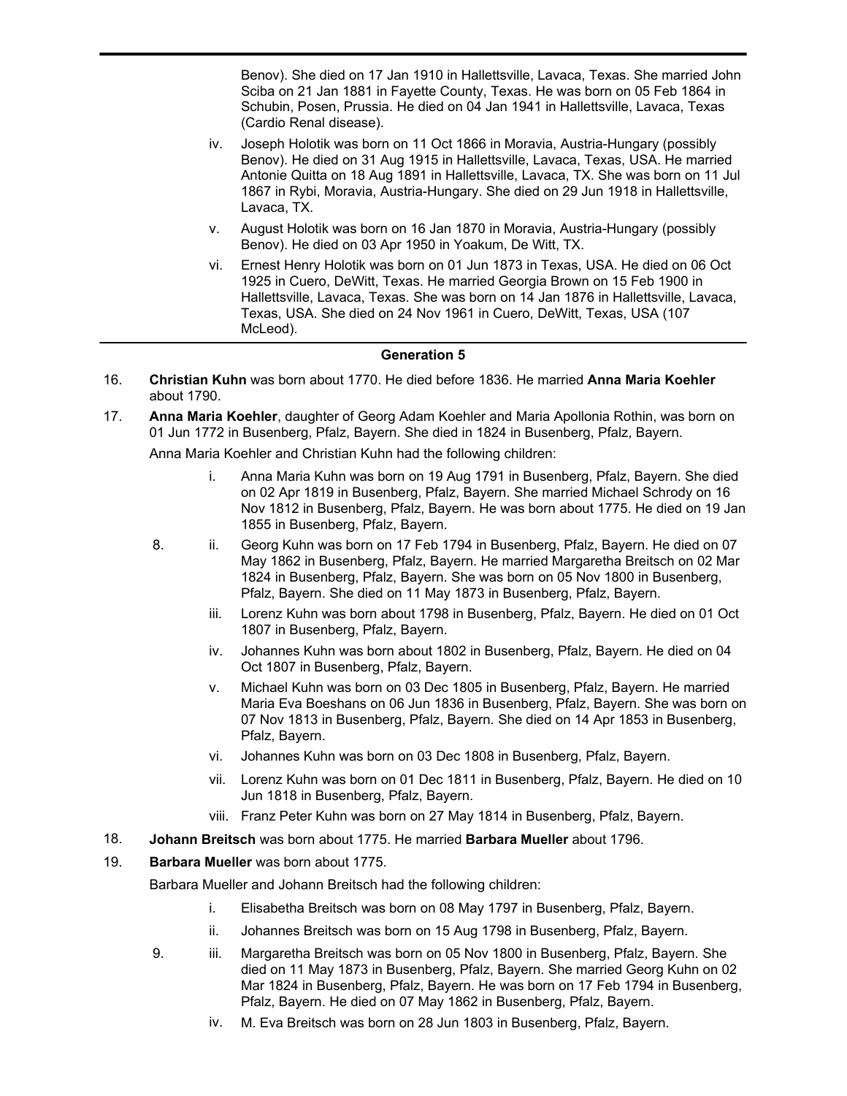iii. Filomena Holotik was born on 18 Dec 1862 in Moravia, Austria-Hungary (possibly Benov). She died on 17 Jan 1910 in Hallettsville, Lavaca, Texas. She married John Sciba on 21 Jan 1881 in Fayette County, Texas. He was born on 05 Feb 1864 in Schubin, Posen, Prussia. He died on 04 Jan 1941 in Hallettsville, Lavaca, Texas (Cardio Renal disease).

- iv. Joseph Holotik was born on 11 Oct 1866 in Moravia, Austria-Hungary (possibly Benov). He died on 31 Aug 1915 in Hallettsville, Lavaca, Texas, USA. He married Antonie Quitta on 18 Aug 1891 in Hallettsville, Lavaca, TX. She was born on 11 Jul 1867 in Rybi, Moravia, Austria-Hungary. She died on 29 Jun 1918 in Hallettsville, Lavaca, TX.
- v. August Holotik was born on 16 Jan 1870 in Moravia, Austria-Hungary (possibly Benov). He died on 03 Apr 1950 in Yoakum, De Witt, TX.
- vi. Ernest Henry Holotik was born on 01 Jun 1873 in Texas, USA. He died on 06 Oct 1925 in Cuero, DeWitt, Texas. He married Georgia Brown on 15 Feb 1900 in Hallettsville, Lavaca, Texas. She was born on 14 Jan 1876 in Hallettsville, Lavaca, Texas, USA. She died on 24 Nov 1961 in Cuero, DeWitt, Texas, USA (107 McLeod).

#### **Generation 5**

- **Christian Kuhn** was born about 1770. He died before 1836. He married **Anna Maria Koehler** about 1790. 16.
- **Anna Maria Koehler**, daughter of Georg Adam Koehler and Maria Apollonia Rothin, was born on 01 Jun 1772 in Busenberg, Pfalz, Bayern. She died in 1824 in Busenberg, Pfalz, Bayern. 17.

Anna Maria Koehler and Christian Kuhn had the following children:

- i. Anna Maria Kuhn was born on 19 Aug 1791 in Busenberg, Pfalz, Bayern. She died on 02 Apr 1819 in Busenberg, Pfalz, Bayern. She married Michael Schrody on 16 Nov 1812 in Busenberg, Pfalz, Bayern. He was born about 1775. He died on 19 Jan 1855 in Busenberg, Pfalz, Bayern.
- 8. ii. Georg Kuhn was born on 17 Feb 1794 in Busenberg, Pfalz, Bayern. He died on 07 May 1862 in Busenberg, Pfalz, Bayern. He married Margaretha Breitsch on 02 Mar 1824 in Busenberg, Pfalz, Bayern. She was born on 05 Nov 1800 in Busenberg, Pfalz, Bayern. She died on 11 May 1873 in Busenberg, Pfalz, Bayern.
	- iii. Lorenz Kuhn was born about 1798 in Busenberg, Pfalz, Bayern. He died on 01 Oct 1807 in Busenberg, Pfalz, Bayern.
	- iv. Johannes Kuhn was born about 1802 in Busenberg, Pfalz, Bayern. He died on 04 Oct 1807 in Busenberg, Pfalz, Bayern.
	- v. Michael Kuhn was born on 03 Dec 1805 in Busenberg, Pfalz, Bayern. He married Maria Eva Boeshans on 06 Jun 1836 in Busenberg, Pfalz, Bayern. She was born on 07 Nov 1813 in Busenberg, Pfalz, Bayern. She died on 14 Apr 1853 in Busenberg, Pfalz, Bayern.
	- vi. Johannes Kuhn was born on 03 Dec 1808 in Busenberg, Pfalz, Bayern.
	- vii. Lorenz Kuhn was born on 01 Dec 1811 in Busenberg, Pfalz, Bayern. He died on 10 Jun 1818 in Busenberg, Pfalz, Bayern.
	- viii. Franz Peter Kuhn was born on 27 May 1814 in Busenberg, Pfalz, Bayern.
- 18. **Johann Breitsch** was born about 1775. He married **Barbara Mueller** about 1796.
- 19. **Barbara Mueller** was born about 1775.

Barbara Mueller and Johann Breitsch had the following children:

- i. Elisabetha Breitsch was born on 08 May 1797 in Busenberg, Pfalz, Bayern.
- ii. Johannes Breitsch was born on 15 Aug 1798 in Busenberg, Pfalz, Bayern.
- 9. iii. Margaretha Breitsch was born on 05 Nov 1800 in Busenberg, Pfalz, Bayern. She died on 11 May 1873 in Busenberg, Pfalz, Bayern. She married Georg Kuhn on 02 Mar 1824 in Busenberg, Pfalz, Bayern. He was born on 17 Feb 1794 in Busenberg, Pfalz, Bayern. He died on 07 May 1862 in Busenberg, Pfalz, Bayern.
	- iv. M. Eva Breitsch was born on 28 Jun 1803 in Busenberg, Pfalz, Bayern.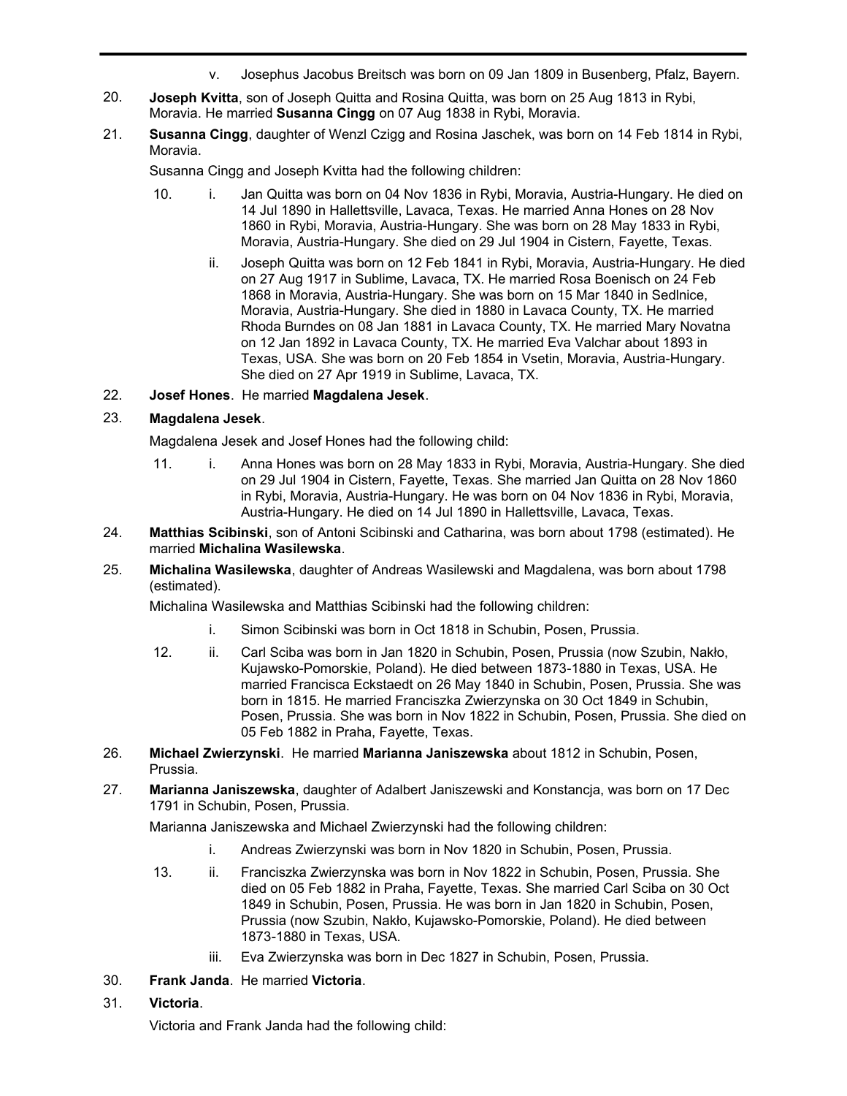- v. Josephus Jacobus Breitsch was born on 09 Jan 1809 in Busenberg, Pfalz, Bayern.
- **Joseph Kvitta**, son of Joseph Quitta and Rosina Quitta, was born on 25 Aug 1813 in Rybi, Moravia. He married **Susanna Cingg** on 07 Aug 1838 in Rybi, Moravia. 20.
- **Susanna Cingg**, daughter of Wenzl Czigg and Rosina Jaschek, was born on 14 Feb 1814 in Rybi, Moravia. 21.

Susanna Cingg and Joseph Kvitta had the following children:

- 10. i. Jan Quitta was born on 04 Nov 1836 in Rybi, Moravia, Austria-Hungary. He died on 14 Jul 1890 in Hallettsville, Lavaca, Texas. He married Anna Hones on 28 Nov 1860 in Rybi, Moravia, Austria-Hungary. She was born on 28 May 1833 in Rybi, Moravia, Austria-Hungary. She died on 29 Jul 1904 in Cistern, Fayette, Texas.
	- ii. Joseph Quitta was born on 12 Feb 1841 in Rybi, Moravia, Austria-Hungary. He died on 27 Aug 1917 in Sublime, Lavaca, TX. He married Rosa Boenisch on 24 Feb 1868 in Moravia, Austria-Hungary. She was born on 15 Mar 1840 in Sedlnice, Moravia, Austria-Hungary. She died in 1880 in Lavaca County, TX. He married Rhoda Burndes on 08 Jan 1881 in Lavaca County, TX. He married Mary Novatna on 12 Jan 1892 in Lavaca County, TX. He married Eva Valchar about 1893 in Texas, USA. She was born on 20 Feb 1854 in Vsetin, Moravia, Austria-Hungary. She died on 27 Apr 1919 in Sublime, Lavaca, TX.
- 22. **Josef Hones**. He married **Magdalena Jesek**.

### 23. **Magdalena Jesek**.

Magdalena Jesek and Josef Hones had the following child:

- 11. i. Anna Hones was born on 28 May 1833 in Rybi, Moravia, Austria-Hungary. She died on 29 Jul 1904 in Cistern, Fayette, Texas. She married Jan Quitta on 28 Nov 1860 in Rybi, Moravia, Austria-Hungary. He was born on 04 Nov 1836 in Rybi, Moravia, Austria-Hungary. He died on 14 Jul 1890 in Hallettsville, Lavaca, Texas.
- **Matthias Scibinski**, son of Antoni Scibinski and Catharina, was born about 1798 (estimated). He married **Michalina Wasilewska**. 24.
- **Michalina Wasilewska**, daughter of Andreas Wasilewski and Magdalena, was born about 1798 (estimated). 25.

Michalina Wasilewska and Matthias Scibinski had the following children:

- i. Simon Scibinski was born in Oct 1818 in Schubin, Posen, Prussia.
- 12. ii. Carl Sciba was born in Jan 1820 in Schubin, Posen, Prussia (now Szubin, Nakło, Kujawsko-Pomorskie, Poland). He died between 1873-1880 in Texas, USA. He married Francisca Eckstaedt on 26 May 1840 in Schubin, Posen, Prussia. She was born in 1815. He married Franciszka Zwierzynska on 30 Oct 1849 in Schubin, Posen, Prussia. She was born in Nov 1822 in Schubin, Posen, Prussia. She died on 05 Feb 1882 in Praha, Fayette, Texas.
- **Michael Zwierzynski**. He married **Marianna Janiszewska** about 1812 in Schubin, Posen, Prussia. 26.
- **Marianna Janiszewska**, daughter of Adalbert Janiszewski and Konstancja, was born on 17 Dec 1791 in Schubin, Posen, Prussia. 27.

Marianna Janiszewska and Michael Zwierzynski had the following children:

- i. Andreas Zwierzynski was born in Nov 1820 in Schubin, Posen, Prussia.
- 13. ii. Franciszka Zwierzynska was born in Nov 1822 in Schubin, Posen, Prussia. She died on 05 Feb 1882 in Praha, Fayette, Texas. She married Carl Sciba on 30 Oct 1849 in Schubin, Posen, Prussia. He was born in Jan 1820 in Schubin, Posen, Prussia (now Szubin, Nakło, Kujawsko-Pomorskie, Poland). He died between 1873-1880 in Texas, USA.
	- iii. Eva Zwierzynska was born in Dec 1827 in Schubin, Posen, Prussia.
- 30. **Frank Janda**. He married **Victoria**.
- 31. **Victoria**.

Victoria and Frank Janda had the following child: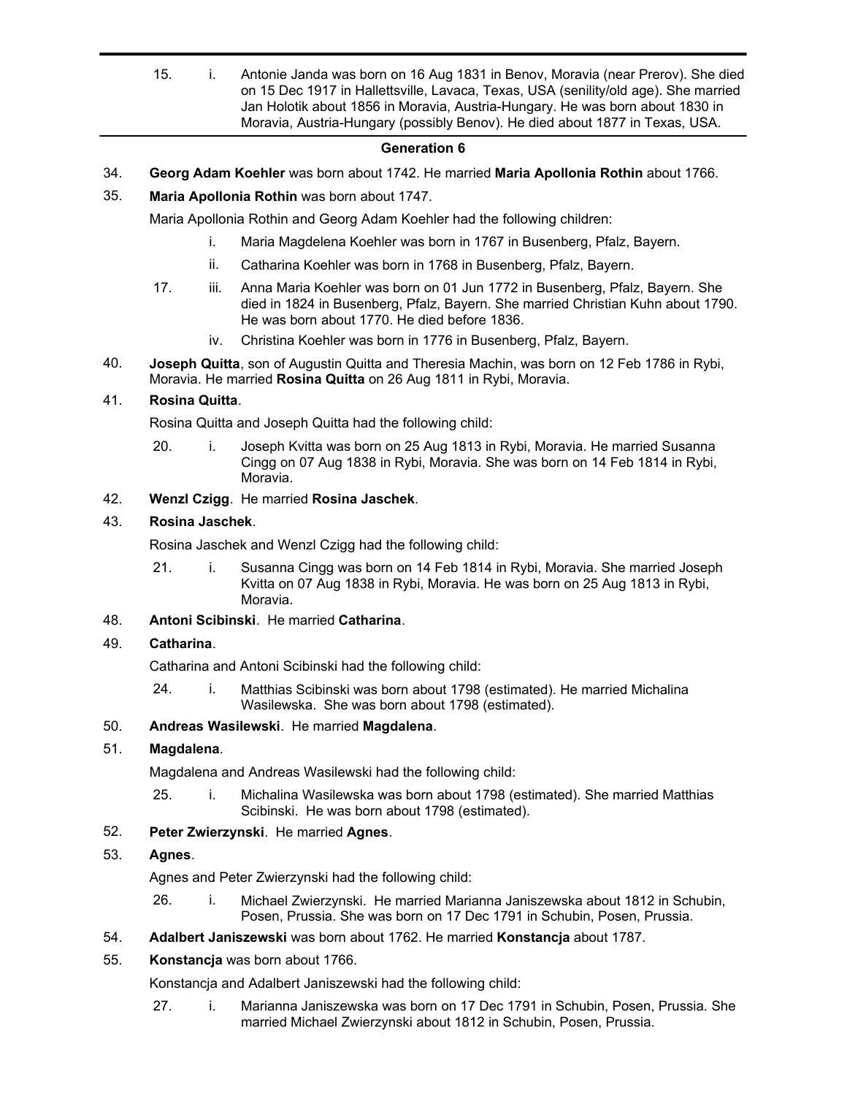15. i. Antonie Janda was born on 16 Aug 1831 in Benov, Moravia (near Prerov). She died on 15 Dec 1917 in Hallettsville, Lavaca, Texas, USA (senility/old age). She married Jan Holotik about 1856 in Moravia, Austria-Hungary. He was born about 1830 in Moravia, Austria-Hungary (possibly Benov). He died about 1877 in Texas, USA.

### **Generation 6**

- 34. **Georg Adam Koehler** was born about 1742. He married **Maria Apollonia Rothin** about 1766.
- 35. **Maria Apollonia Rothin** was born about 1747.

Maria Apollonia Rothin and Georg Adam Koehler had the following children:

- i. Maria Magdelena Koehler was born in 1767 in Busenberg, Pfalz, Bayern.
- ii. Catharina Koehler was born in 1768 in Busenberg, Pfalz, Bayern.
- 17. iii. Anna Maria Koehler was born on 01 Jun 1772 in Busenberg, Pfalz, Bayern. She died in 1824 in Busenberg, Pfalz, Bayern. She married Christian Kuhn about 1790. He was born about 1770. He died before 1836.
	- iv. Christina Koehler was born in 1776 in Busenberg, Pfalz, Bayern.
- **Joseph Quitta**, son of Augustin Quitta and Theresia Machin, was born on 12 Feb 1786 in Rybi, Moravia. He married **Rosina Quitta** on 26 Aug 1811 in Rybi, Moravia. 40.

### 41. **Rosina Quitta**.

Rosina Quitta and Joseph Quitta had the following child:

20. i. Joseph Kvitta was born on 25 Aug 1813 in Rybi, Moravia. He married Susanna Cingg on 07 Aug 1838 in Rybi, Moravia. She was born on 14 Feb 1814 in Rybi, Moravia.

### 42. **Wenzl Czigg**. He married **Rosina Jaschek**.

## 43. **Rosina Jaschek**.

Rosina Jaschek and Wenzl Czigg had the following child:

21. i. Susanna Cingg was born on 14 Feb 1814 in Rybi, Moravia. She married Joseph Kvitta on 07 Aug 1838 in Rybi, Moravia. He was born on 25 Aug 1813 in Rybi, Moravia.

## 48. **Antoni Scibinski**. He married **Catharina**.

### 49. **Catharina**.

Catharina and Antoni Scibinski had the following child:

24. i. Matthias Scibinski was born about 1798 (estimated). He married Michalina Wasilewska. She was born about 1798 (estimated).

### 50. **Andreas Wasilewski**. He married **Magdalena**.

## 51. **Magdalena**.

Magdalena and Andreas Wasilewski had the following child:

25. i. Michalina Wasilewska was born about 1798 (estimated). She married Matthias Scibinski. He was born about 1798 (estimated).

## 52. **Peter Zwierzynski**. He married **Agnes**.

### 53. **Agnes**.

Agnes and Peter Zwierzynski had the following child:

- 26. i. Michael Zwierzynski. He married Marianna Janiszewska about 1812 in Schubin, Posen, Prussia. She was born on 17 Dec 1791 in Schubin, Posen, Prussia.
- 54. **Adalbert Janiszewski** was born about 1762. He married **Konstancja** about 1787.
- 55. **Konstancja** was born about 1766.

Konstancja and Adalbert Janiszewski had the following child:

27. i. Marianna Janiszewska was born on 17 Dec 1791 in Schubin, Posen, Prussia. She married Michael Zwierzynski about 1812 in Schubin, Posen, Prussia.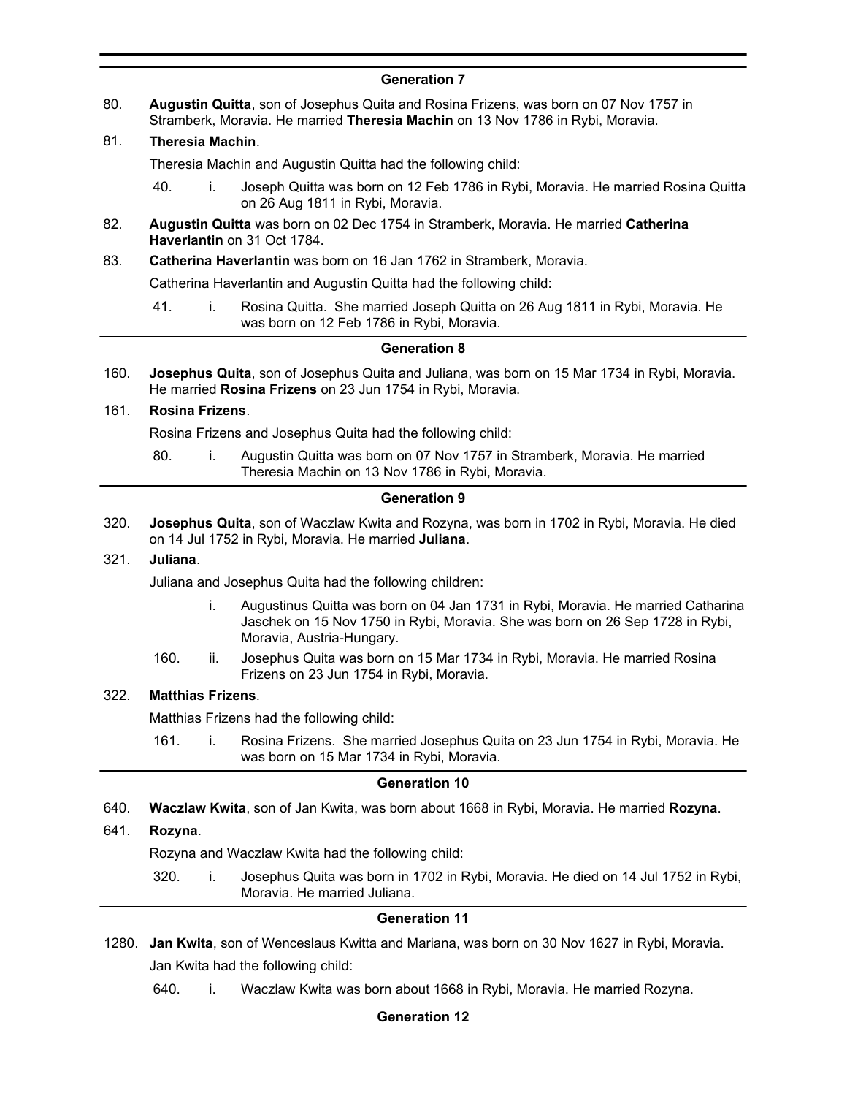## **Generation 7**

**Augustin Quitta**, son of Josephus Quita and Rosina Frizens, was born on 07 Nov 1757 in Stramberk, Moravia. He married **Theresia Machin** on 13 Nov 1786 in Rybi, Moravia. 80.

## 81. **Theresia Machin**.

Theresia Machin and Augustin Quitta had the following child:

- 40. i. Joseph Quitta was born on 12 Feb 1786 in Rybi, Moravia. He married Rosina Quitta on 26 Aug 1811 in Rybi, Moravia.
- **Augustin Quitta** was born on 02 Dec 1754 in Stramberk, Moravia. He married **Catherina Haverlantin** on 31 Oct 1784. 82.
- 83. **Catherina Haverlantin** was born on 16 Jan 1762 in Stramberk, Moravia.

Catherina Haverlantin and Augustin Quitta had the following child:

41. i. Rosina Quitta. She married Joseph Quitta on 26 Aug 1811 in Rybi, Moravia. He was born on 12 Feb 1786 in Rybi, Moravia.

### **Generation 8**

**Josephus Quita**, son of Josephus Quita and Juliana, was born on 15 Mar 1734 in Rybi, Moravia. He married **Rosina Frizens** on 23 Jun 1754 in Rybi, Moravia. 160.

### 161. **Rosina Frizens**.

Rosina Frizens and Josephus Quita had the following child:

80. i. Augustin Quitta was born on 07 Nov 1757 in Stramberk, Moravia. He married Theresia Machin on 13 Nov 1786 in Rybi, Moravia.

### **Generation 9**

**Josephus Quita**, son of Waczlaw Kwita and Rozyna, was born in 1702 in Rybi, Moravia. He died on 14 Jul 1752 in Rybi, Moravia. He married **Juliana**. 320.

#### 321. **Juliana**.

Juliana and Josephus Quita had the following children:

- i. Augustinus Quitta was born on 04 Jan 1731 in Rybi, Moravia. He married Catharina Jaschek on 15 Nov 1750 in Rybi, Moravia. She was born on 26 Sep 1728 in Rybi, Moravia, Austria-Hungary.
- 160. ii. Josephus Quita was born on 15 Mar 1734 in Rybi, Moravia. He married Rosina Frizens on 23 Jun 1754 in Rybi, Moravia.

## 322. **Matthias Frizens**.

Matthias Frizens had the following child:

161. i. Rosina Frizens. She married Josephus Quita on 23 Jun 1754 in Rybi, Moravia. He was born on 15 Mar 1734 in Rybi, Moravia.

### **Generation 10**

640. **Waczlaw Kwita**, son of Jan Kwita, was born about 1668 in Rybi, Moravia. He married **Rozyna**.

### 641. **Rozyna**.

Rozyna and Waczlaw Kwita had the following child:

320. i. Josephus Quita was born in 1702 in Rybi, Moravia. He died on 14 Jul 1752 in Rybi, Moravia. He married Juliana.

#### **Generation 11**

- 1280. **Jan Kwita**, son of Wenceslaus Kwitta and Mariana, was born on 30 Nov 1627 in Rybi, Moravia. Jan Kwita had the following child:
	- 640. i. Waczlaw Kwita was born about 1668 in Rybi, Moravia. He married Rozyna.